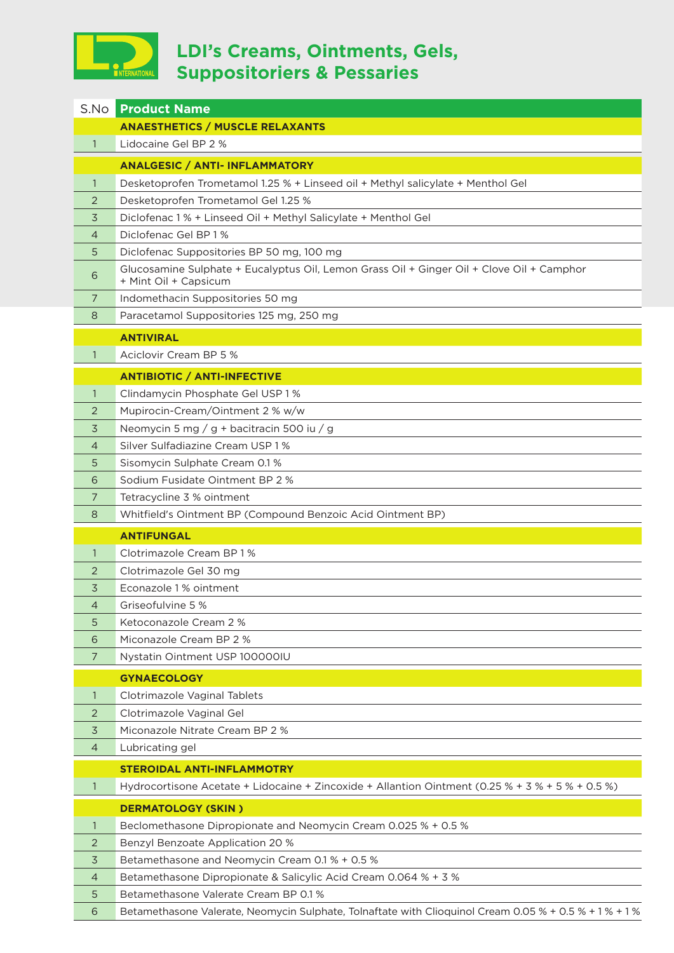

## **LDI's Creams, Ointments, Gels, Suppositoriers & Pessaries**

|                | <b>S.No Product Name</b>                                                                                           |
|----------------|--------------------------------------------------------------------------------------------------------------------|
|                | <b>ANAESTHETICS / MUSCLE RELAXANTS</b>                                                                             |
| $\mathbf{1}$   | Lidocaine Gel BP 2 %                                                                                               |
|                | <b>ANALGESIC / ANTI- INFLAMMATORY</b>                                                                              |
| $\mathbf{1}$   | Desketoprofen Trometamol 1.25 % + Linseed oil + Methyl salicylate + Menthol Gel                                    |
| 2              | Desketoprofen Trometamol Gel 1.25 %                                                                                |
| 3              | Diclofenac 1 % + Linseed Oil + Methyl Salicylate + Menthol Gel                                                     |
| 4              | Diclofenac Gel BP 1%                                                                                               |
| 5              | Diclofenac Suppositories BP 50 mg, 100 mg                                                                          |
| 6              | Glucosamine Sulphate + Eucalyptus Oil, Lemon Grass Oil + Ginger Oil + Clove Oil + Camphor<br>+ Mint Oil + Capsicum |
| $\overline{7}$ | Indomethacin Suppositories 50 mg                                                                                   |
| 8              | Paracetamol Suppositories 125 mg, 250 mg                                                                           |
|                | <b>ANTIVIRAL</b>                                                                                                   |
| $\mathbf{1}$   | Aciclovir Cream BP 5 %                                                                                             |
|                | <b>ANTIBIOTIC / ANTI-INFECTIVE</b>                                                                                 |
| $\mathbf{1}$   | Clindamycin Phosphate Gel USP 1%                                                                                   |
| 2              | Mupirocin-Cream/Ointment 2 % w/w                                                                                   |
| 3              | Neomycin 5 mg / g + bacitracin 500 iu / g                                                                          |
| 4              | Silver Sulfadiazine Cream USP 1 %                                                                                  |
| 5              | Sisomycin Sulphate Cream 0.1 %                                                                                     |
| 6              | Sodium Fusidate Ointment BP 2 %                                                                                    |
| 7              | Tetracycline 3 % ointment                                                                                          |
| 8              | Whitfield's Ointment BP (Compound Benzoic Acid Ointment BP)                                                        |
|                | <b>ANTIFUNGAL</b>                                                                                                  |
| $\mathbf{1}$   | Clotrimazole Cream BP 1%                                                                                           |
| 2              | Clotrimazole Gel 30 mg                                                                                             |
| 3              | Econazole 1% ointment                                                                                              |
| 4              | Griseofulvine 5 %                                                                                                  |
| 5              | Ketoconazole Cream 2 %                                                                                             |
| 6              | Miconazole Cream BP 2 %                                                                                            |
| 7              | Nystatin Ointment USP 100000IU                                                                                     |
|                | <b>GYNAECOLOGY</b>                                                                                                 |
| $\mathbf{1}$   | Clotrimazole Vaginal Tablets                                                                                       |
| 2              | Clotrimazole Vaginal Gel                                                                                           |
| $\overline{3}$ | Miconazole Nitrate Cream BP 2 %                                                                                    |
| 4              | Lubricating gel                                                                                                    |
|                | <b>STEROIDAL ANTI-INFLAMMOTRY</b>                                                                                  |
| $\mathbf{1}$   | Hydrocortisone Acetate + Lidocaine + Zincoxide + Allantion Ointment (0.25 % + 3 % + 5 % + 0.5 %)                   |
|                | <b>DERMATOLOGY (SKIN)</b>                                                                                          |
| $\mathbf{1}$   | Beclomethasone Dipropionate and Neomycin Cream 0.025 % + 0.5 %                                                     |
| 2              | Benzyl Benzoate Application 20 %                                                                                   |
| 3              | Betamethasone and Neomycin Cream 0.1 % + 0.5 %                                                                     |
| 4              | Betamethasone Dipropionate & Salicylic Acid Cream 0.064 % + 3 %                                                    |
| 5              | Betamethasone Valerate Cream BP 0.1 %                                                                              |
| 6              | Betamethasone Valerate, Neomycin Sulphate, Tolnaftate with Clioquinol Cream 0.05 % + 0.5 % + 1 % + 1 %             |